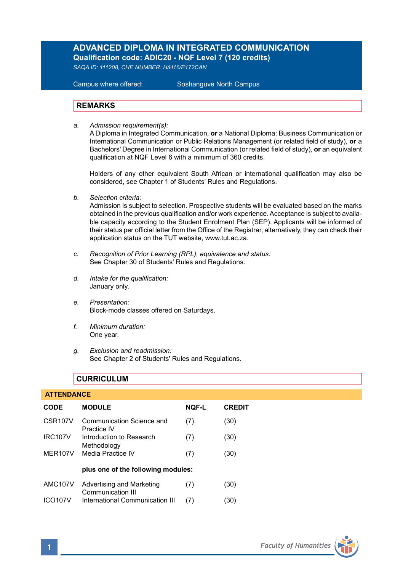# **ADVANCED DIPLOMA IN INTEGRATED COMMUNICATION Qualification code: ADIC20 - NQF Level 7 (120 credits)**

*SAQA ID: 111208, CHE NUMBER: H/H16/E172CAN* 

**Campus where offered:** 

Soshanguve North Campus

## **REMARKS**

*a. Admission requirement(s):* 

A Diploma in Integrated Communication, **or** a National Diploma: Business Communication or International Communication or Public Relations Management (or related field of study), **or** a Bachelors' Degree in International Communication (or related field of study), **or** an equivalent qualification at NQF Level 6 with a minimum of 360 credits.

Holders of any other equivalent South African or international qualification may also be considered, see Chapter 1 of Students' Rules and Regulations.

*b. Selection criteria:*

Admission is subject to selection. Prospective students will be evaluated based on the marks obtained in the previous qualification and/or work experience. Acceptance is subject to available capacity according to the Student Enrolment Plan (SEP). Applicants will be informed of their status per official letter from the Office of the Registrar, alternatively, they can check their application status on the TUT website, www.tut.ac.za.

- *c. Recognition of Prior Learning (RPL), equivalence and status:* See Chapter 30 of Students' Rules and Regulations.
- *d. Intake for the qualification:* January only.
- *e. Presentation:* Block-mode classes offered on Saturdays.
- *f. Minimum duration:* One year.
- *g. Exclusion and readmission:* See Chapter 2 of Students' Rules and Regulations.

# **CURRICULUM**

## **ATTENDANCE**

| CODE                 | <b>MODULE</b>                                  | <b>NQF-L</b> | <b>CREDIT</b> |
|----------------------|------------------------------------------------|--------------|---------------|
| CSR <sub>107</sub> V | Communication Science and<br>Practice IV       | (7)          | (30)          |
| <b>IRC107V</b>       | Introduction to Research<br>Methodology        | (7)          | (30)          |
| MER <sub>107</sub> V | Media Practice IV                              | (7)          | (30)          |
|                      | plus one of the following modules:             |              |               |
| <b>AMC107V</b>       | Advertising and Marketing<br>Communication III | (7)          | (30)          |
| <b>ICO107V</b>       | International Communication III                | (7)          | (30)          |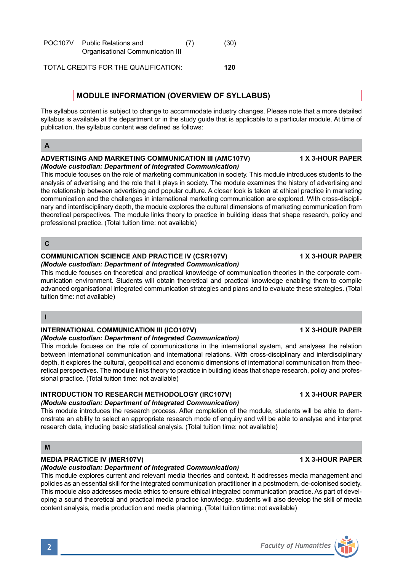| POC <sub>107</sub> V | <b>Public Relations and</b>      | (7) | (30) |
|----------------------|----------------------------------|-----|------|
|                      | Organisational Communication III |     |      |

TOTAL CREDITS FOR THE QUALIFICATION: **120**

## **MODULE INFORMATION (OVERVIEW OF SYLLABUS)**

The syllabus content is subject to change to accommodate industry changes. Please note that a more detailed syllabus is available at the department or in the study guide that is applicable to a particular module. At time of publication, the syllabus content was defined as follows:

# **A**

### **ADVERTISING AND MARKETING COMMUNICATION III (AMC107V) 1 X 3-HOUR PAPER** *(Module custodian: Department of Integrated Communication)*

This module focuses on the role of marketing communication in society. This module introduces students to the analysis of advertising and the role that it plays in society. The module examines the history of advertising and the relationship between advertising and popular culture. A closer look is taken at ethical practice in marketing communication and the challenges in international marketing communication are explored. With cross-disciplinary and interdisciplinary depth, the module explores the cultural dimensions of marketing communication from theoretical perspectives. The module links theory to practice in building ideas that shape research, policy and professional practice. (Total tuition time: not available)

## **C**

# **COMMUNICATION SCIENCE AND PRACTICE IV (CSR107V) 1 X 3-HOUR PAPER**

*(Module custodian: Department of Integrated Communication)*

This module focuses on theoretical and practical knowledge of communication theories in the corporate communication environment. Students will obtain theoretical and practical knowledge enabling them to compile advanced organisational integrated communication strategies and plans and to evaluate these strategies. (Total tuition time: not available)

## **I**

### **INTERNATIONAL COMMUNICATION III (ICO107V) 1 X 3-HOUR PAPER** *(Module custodian: Department of Integrated Communication)*

This module focuses on the role of communications in the international system, and analyses the relation between international communication and international relations. With cross-disciplinary and interdisciplinary depth, it explores the cultural, geopolitical and economic dimensions of international communication from theoretical perspectives. The module links theory to practice in building ideas that shape research, policy and professional practice. (Total tuition time: not available)

### **INTRODUCTION TO RESEARCH METHODOLOGY (IRC107V) 1 X 3-HOUR PAPER** *(Module custodian: Department of Integrated Communication)*

This module introduces the research process. After completion of the module, students will be able to demonstrate an ability to select an appropriate research mode of enquiry and will be able to analyse and interpret research data, including basic statistical analysis. (Total tuition time: not available)

## **M**

## **MEDIA PRACTICE IV (MER107V) 1 X 3-HOUR PAPER**

*(Module custodian: Department of Integrated Communication)*

This module explores current and relevant media theories and context. It addresses media management and policies as an essential skill for the integrated communication practitioner in a postmodern, de-colonised society. This module also addresses media ethics to ensure ethical integrated communication practice. As part of developing a sound theoretical and practical media practice knowledge, students will also develop the skill of media content analysis, media production and media planning. (Total tuition time: not available)